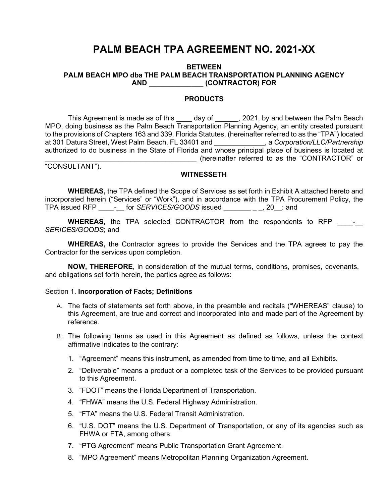# **PALM BEACH TPA AGREEMENT NO. 2021-XX**

#### **BETWEEN PALM BEACH MPO dba THE PALM BEACH TRANSPORTATION PLANNING AGENCY AND \_\_\_\_\_\_\_\_\_\_\_\_\_\_ (CONTRACTOR) FOR**

#### **PRODUCTS**

This Agreement is made as of this \_\_\_\_ day of \_\_\_\_\_\_, 2021, by and between the Palm Beach MPO, doing business as the Palm Beach Transportation Planning Agency, an entity created pursuant to the provisions of Chapters 163 and 339, Florida Statutes, (hereinafter referred to as the "TPA") located at 301 Datura Street, West Palm Beach, FL 33401 and \_\_\_\_\_\_\_\_\_\_\_\_\_, a *Corporation/LLC/Partnership* authorized to do business in the State of Florida and whose principal place of business is located at \_\_\_\_\_\_\_\_\_\_\_\_\_\_\_\_\_\_\_\_\_\_\_\_\_\_\_\_\_\_\_\_\_\_\_\_\_\_\_ (hereinafter referred to as the "CONTRACTOR" or

"CONSULTANT").

#### **WITNESSETH**

**WHEREAS,** the TPA defined the Scope of Services as set forth in Exhibit A attached hereto and incorporated herein ("Services" or "Work"), and in accordance with the TPA Procurement Policy, the TPA issued RFP interact for *SERVICES/GOODS* issued \_\_\_\_\_\_\_\_\_\_, 20\_\_: and

**WHEREAS,** the TPA selected CONTRACTOR from the respondents to RFP \_\_\_\_\_\_\_ *SERICES/GOODS*; and

**WHEREAS,** the Contractor agrees to provide the Services and the TPA agrees to pay the Contractor for the services upon completion.

**NOW, THEREFORE**, in consideration of the mutual terms, conditions, promises, covenants, and obligations set forth herein, the parties agree as follows:

#### Section 1. **Incorporation of Facts; Definitions**

- A. The facts of statements set forth above, in the preamble and recitals ("WHEREAS" clause) to this Agreement, are true and correct and incorporated into and made part of the Agreement by reference.
- B. The following terms as used in this Agreement as defined as follows, unless the context affirmative indicates to the contrary:
	- 1. "Agreement" means this instrument, as amended from time to time, and all Exhibits.
	- 2. "Deliverable" means a product or a completed task of the Services to be provided pursuant to this Agreement.
	- 3. "FDOT" means the Florida Department of Transportation.
	- 4. "FHWA" means the U.S. Federal Highway Administration.
	- 5. "FTA" means the U.S. Federal Transit Administration.
	- 6. "U.S. DOT" means the U.S. Department of Transportation, or any of its agencies such as FHWA or FTA, among others.
	- 7. "PTG Agreement" means Public Transportation Grant Agreement.
	- 8. "MPO Agreement" means Metropolitan Planning Organization Agreement.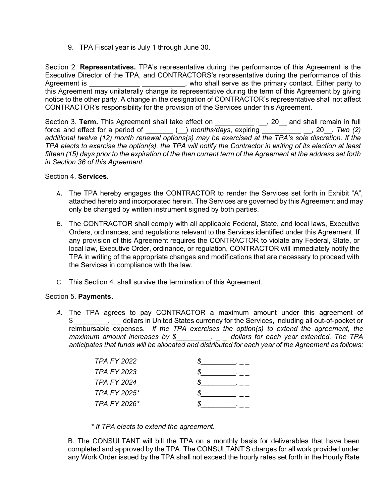9. TPA Fiscal year is July 1 through June 30.

Section 2. **Representatives.** TPA's representative during the performance of this Agreement is the Executive Director of the TPA, and CONTRACTORS's representative during the performance of this Agreement is \_\_\_\_\_\_\_\_\_\_\_\_\_\_\_\_\_\_\_\_\_\_\_\_\_\_\_, who shall serve as the primary contact. Either party to this Agreement may unilaterally change its representative during the term of this Agreement by giving notice to the other party. A change in the designation of CONTRACTOR's representative shall not affect CONTRACTOR's responsibility for the provision of the Services under this Agreement.

Section 3. **Term.** This Agreement shall take effect on \_\_\_\_\_\_\_\_\_\_ \_\_, 20\_\_ and shall remain in full force and effect for a period of \_\_\_\_\_\_\_ (\_\_) *months/days*, expiring \_\_\_\_\_\_\_\_\_\_ \_\_, 20\_\_. *Two (2) additional twelve (12) month renewal options(s) may be exercised at the TPA's sole discretion. If the* TPA elects to exercise the option(s), the TPA will notify the Contractor in writing of its election at least fifteen (15) days prior to the expiration of the then current term of the Agreement at the address set forth *in Section 36 of this Agreement*.

### Section 4. **Services.**

- A. The TPA hereby engages the CONTRACTOR to render the Services set forth in Exhibit "A", attached hereto and incorporated herein. The Services are governed by this Agreement and may only be changed by written instrument signed by both parties.
- B. The CONTRACTOR shall comply with all applicable Federal, State, and local laws, Executive Orders, ordinances, and regulations relevant to the Services identified under this Agreement. If any provision of this Agreement requires the CONTRACTOR to violate any Federal, State, or local law, Executive Order, ordinance, or regulation, CONTRACTOR will immediately notify the TPA in writing of the appropriate changes and modifications that are necessary to proceed with the Services in compliance with the law.
- C. This Section 4. shall survive the termination of this Agreement.

#### Section 5. **Payments.**

*A.* The TPA agrees to pay CONTRACTOR a maximum amount under this agreement of \$\_\_\_\_\_\_\_\_\_. \_ \_ dollars in United States currency for the Services, including all out-of-pocket or reimbursable expenses. *If the TPA exercises the option(s) to extend the agreement, the maximum amount increases by \$\_\_\_\_\_\_\_\_\_. \_ \_\_dollars for each year extended. The TPA anticipates that funds will be allocated and distributed for each year of the Agreement as follows:*

| TPA FY 2022        |  |
|--------------------|--|
| <b>TPA FY 2023</b> |  |
| <b>TPA FY 2024</b> |  |
| TPA FY 2025*       |  |
| TPA FY 2026*       |  |

*\* If TPA elects to extend the agreement.*

B. The CONSULTANT will bill the TPA on a monthly basis for deliverables that have been completed and approved by the TPA. The CONSULTANT'S charges for all work provided under any Work Order issued by the TPA shall not exceed the hourly rates set forth in the Hourly Rate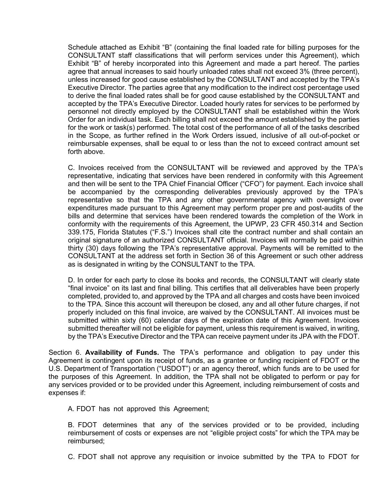Schedule attached as Exhibit "B" (containing the final loaded rate for billing purposes for the CONSULTANT staff classifications that will perform services under this Agreement), which Exhibit "B" of hereby incorporated into this Agreement and made a part hereof. The parties agree that annual increases to said hourly unloaded rates shall not exceed 3% (three percent), unless increased for good cause established by the CONSULTANT and accepted by the TPA's Executive Director. The parties agree that any modification to the indirect cost percentage used to derive the final loaded rates shall be for good cause established by the CONSULTANT and accepted by the TPA's Executive Director. Loaded hourly rates for services to be performed by personnel not directly employed by the CONSULTANT shall be established within the Work Order for an individual task. Each billing shall not exceed the amount established by the parties for the work or task(s) performed. The total cost of the performance of all of the tasks described in the Scope, as further refined in the Work Orders issued, inclusive of all out-of-pocket or reimbursable expenses, shall be equal to or less than the not to exceed contract amount set forth above.

C. Invoices received from the CONSULTANT will be reviewed and approved by the TPA's representative, indicating that services have been rendered in conformity with this Agreement and then will be sent to the TPA Chief Financial Officer ("CFO") for payment. Each invoice shall be accompanied by the corresponding deliverables previously approved by the TPA's representative so that the TPA and any other governmental agency with oversight over expenditures made pursuant to this Agreement may perform proper pre and post-audits of the bills and determine that services have been rendered towards the completion of the Work in conformity with the requirements of this Agreement, the UPWP, 23 CFR 450.314 and Section 339.175, Florida Statutes ("F.S.") Invoices shall cite the contract number and shall contain an original signature of an authorized CONSULTANT official. Invoices will normally be paid within thirty (30) days following the TPA's representative approval. Payments will be remitted to the CONSULTANT at the address set forth in Section 36 of this Agreement or such other address as is designated in writing by the CONSULTANT to the TPA.

D. In order for each party to close its books and records, the CONSULTANT will clearly state "final invoice" on its last and final billing. This certifies that all deliverables have been properly completed, provided to, and approved by the TPA and all charges and costs have been invoiced to the TPA. Since this account will thereupon be closed, any and all other future charges, if not properly included on this final invoice, are waived by the CONSULTANT. All invoices must be submitted within sixty (60) calendar days of the expiration date of this Agreement. Invoices submitted thereafter will not be eligible for payment, unless this requirement is waived, in writing, by the TPA's Executive Director and the TPA can receive payment under its JPA with the FDOT.

Section 6. **Availability of Funds.** The TPA's performance and obligation to pay under this Agreement is contingent upon its receipt of funds, as a grantee or funding recipient of FDOT or the U.S. Department of Transportation ("USDOT") or an agency thereof, which funds are to be used for the purposes of this Agreement. In addition, the TPA shall not be obligated to perform or pay for any services provided or to be provided under this Agreement, including reimbursement of costs and expenses if:

A. FDOT has not approved this Agreement;

B. FDOT determines that any of the services provided or to be provided, including reimbursement of costs or expenses are not "eligible project costs" for which the TPA may be reimbursed;

C. FDOT shall not approve any requisition or invoice submitted by the TPA to FDOT for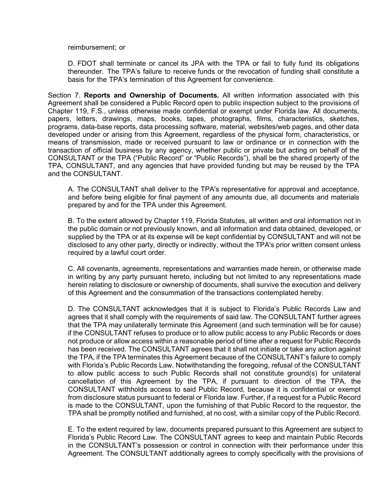reimbursement; or

D. FDOT shall terminate or cancel its JPA with the TPA or fail to fully fund its obligations thereunder. The TPA's failure to receive funds or the revocation of funding shall constitute a basis for the TPA's termination of this Agreement for convenience.

Section 7. **Reports and Ownership of Documents.** All written information associated with this Agreement shall be considered a Public Record open to public inspection subject to the provisions of Chapter 119, F.S., unless otherwise made confidential or exempt under Florida law. All documents, papers, letters, drawings, maps, books, tapes, photographs, films, characteristics, sketches, programs, data-base reports, data processing software, material, websites/web pages, and other data developed under or arising from this Agreement, regardless of the physical form, characteristics, or means of transmission, made or received pursuant to law or ordinance or in connection with the transaction of official business by any agency, whether public or private but acting on behalf of the CONSULTANT or the TPA ("Public Record" or "Public Records"), shall be the shared property of the TPA, CONSULTANT, and any agencies that have provided funding but may be reused by the TPA and the CONSULTANT.

A. The CONSULTANT shall deliver to the TPA's representative for approval and acceptance, and before being eligible for final payment of any amounts due, all documents and materials prepared by and for the TPA under this Agreement.

B. To the extent allowed by Chapter 119, Florida Statutes, all written and oral information not in the public domain or not previously known, and all information and data obtained, developed, or supplied by the TPA or at its expense will be kept confidential by CONSULTANT and will not be disclosed to any other party, directly or indirectly, without the TPA's prior written consent unless required by a lawful court order.

C. All covenants, agreements, representations and warranties made herein, or otherwise made in writing by any party pursuant hereto, including but not limited to any representations made herein relating to disclosure or ownership of documents, shall survive the execution and delivery of this Agreement and the consummation of the transactions contemplated hereby.

D. The CONSULTANT acknowledges that it is subject to Florida's Public Records Law and agrees that it shall comply with the requirements of said law. The CONSULTANT further agrees that the TPA may unilaterally terminate this Agreement (and such termination will be for cause) if the CONSULTANT refuses to produce or to allow public access to any Public Records or does not produce or allow access within a reasonable period of time after a request for Public Records has been received. The CONSULTANT agrees that it shall not initiate or take any action against the TPA, if the TPA terminates this Agreement because of the CONSULTANT's failure to comply with Florida's Public Records Law. Notwithstanding the foregoing, refusal of the CONSULTANT to allow public access to such Public Records shall not constitute ground(s) for unilateral cancellation of this Agreement by the TPA, if pursuant to direction of the TPA, the CONSULTANT withholds access to said Public Record, because it is confidential or exempt from disclosure status pursuant to federal or Florida law. Further, if a request for a Public Record is made to the CONSULTANT, upon the furnishing of that Public Record to the requestor, the TPA shall be promptly notified and furnished, at no cost, with a similar copy of the Public Record.

E. To the extent required by law, documents prepared pursuant to this Agreement are subject to Florida's Public Record Law. The CONSULTANT agrees to keep and maintain Public Records in the CONSULTANT's possession or control in connection with their performance under this Agreement. The CONSULTANT additionally agrees to comply specifically with the provisions of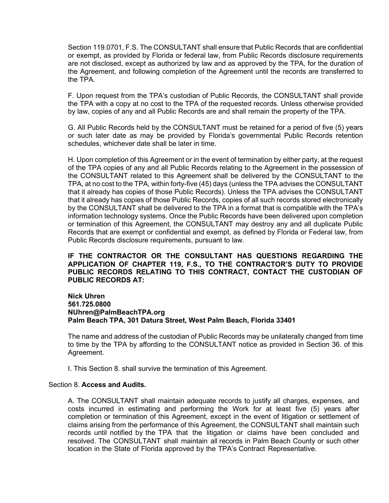Section 119.0701, F.S. The CONSULTANT shall ensure that Public Records that are confidential or exempt, as provided by Florida or federal law, from Public Records disclosure requirements are not disclosed, except as authorized by law and as approved by the TPA, for the duration of the Agreement, and following completion of the Agreement until the records are transferred to the TPA.

F. Upon request from the TPA's custodian of Public Records, the CONSULTANT shall provide the TPA with a copy at no cost to the TPA of the requested records. Unless otherwise provided by law, copies of any and all Public Records are and shall remain the property of the TPA.

G. All Public Records held by the CONSULTANT must be retained for a period of five (5) years or such later date as may be provided by Florida's governmental Public Records retention schedules, whichever date shall be later in time.

H. Upon completion of this Agreement or in the event of termination by either party, at the request of the TPA copies of any and all Public Records relating to the Agreement in the possession of the CONSULTANT related to this Agreement shall be delivered by the CONSULTANT to the TPA, at no cost to the TPA, within forty-five (45) days (unless the TPA advises the CONSULTANT that it already has copies of those Public Records). Unless the TPA advises the CONSULTANT that it already has copies of those Public Records, copies of all such records stored electronically by the CONSULTANT shall be delivered to the TPA in a format that is compatible with the TPA's information technology systems. Once the Public Records have been delivered upon completion or termination of this Agreement, the CONSULTANT may destroy any and all duplicate Public Records that are exempt or confidential and exempt, as defined by Florida or Federal law, from Public Records disclosure requirements, pursuant to law.

### **IF THE CONTRACTOR OR THE CONSULTANT HAS QUESTIONS REGARDING THE APPLICATION OF CHAPTER 119, F.S., TO THE CONTRACTOR'S DUTY TO PROVIDE PUBLIC RECORDS RELATING TO THIS CONTRACT, CONTACT THE CUSTODIAN OF PUBLIC RECORDS AT:**

### **Nick Uhren 561.725.0800 NUhren@PalmBeachTPA.org Palm Beach TPA, 301 Datura Street, West Palm Beach, Florida 33401**

The name and address of the custodian of Public Records may be unilaterally changed from time to time by the TPA by affording to the CONSULTANT notice as provided in Section 36. of this Agreement.

I. This Section 8. shall survive the termination of this Agreement.

#### Section 8. **Access and Audits.**

A. The CONSULTANT shall maintain adequate records to justify all charges, expenses, and costs incurred in estimating and performing the Work for at least five (5) years after completion or termination of this Agreement, except in the event of litigation or settlement of claims arising from the performance of this Agreement, the CONSULTANT shall maintain such records until notified by the TPA that the litigation or claims have been concluded and resolved. The CONSULTANT shall maintain all records in Palm Beach County or such other location in the State of Florida approved by the TPA's Contract Representative.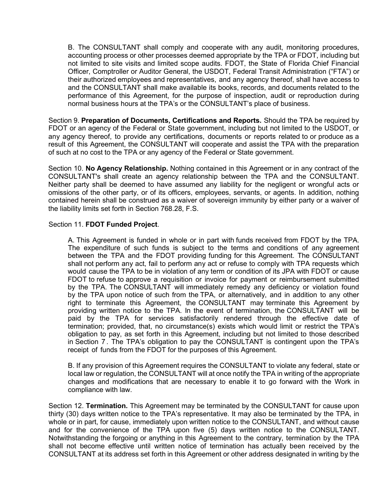B. The CONSULTANT shall comply and cooperate with any audit, monitoring procedures, accounting process or other processes deemed appropriate by the TPA or FDOT, including but not limited to site visits and limited scope audits. FDOT, the State of Florida Chief Financial Officer, Comptroller or Auditor General, the USDOT, Federal Transit Administration ("FTA") or their authorized employees and representatives, and any agency thereof, shall have access to and the CONSULTANT shall make available its books, records, and documents related to the performance of this Agreement, for the purpose of inspection, audit or reproduction during normal business hours at the TPA's or the CONSULTANT's place of business.

Section 9. **Preparation of Documents, Certifications and Reports.** Should the TPA be required by FDOT or an agency of the Federal or State government, including but not limited to the USDOT, or any agency thereof, to provide any certifications, documents or reports related to or produce as a result of this Agreement, the CONSULTANT will cooperate and assist the TPA with the preparation of such at no cost to the TPA or any agency of the Federal or State government.

Section 10. **No Agency Relationship.** Nothing contained in this Agreement or in any contract of the CONSULTANT's shall create an agency relationship between the TPA and the CONSULTANT. Neither party shall be deemed to have assumed any liability for the negligent or wrongful acts or omissions of the other party, or of its officers, employees, servants, or agents. In addition, nothing contained herein shall be construed as a waiver of sovereign immunity by either party or a waiver of the liability limits set forth in Section 768.28, F.S.

### Section 11. **FDOT Funded Project**.

A. This Agreement is funded in whole or in part with funds received from FDOT by the TPA. The expenditure of such funds is subject to the terms and conditions of any agreement between the TPA and the FDOT providing funding for this Agreement. The CONSULTANT shall not perform any act, fail to perform any act or refuse to comply with TPA requests which would cause the TPA to be in violation of any term or condition of its JPA with FDOT or cause FDOT to refuse to approve a requisition or invoice for payment or reimbursement submitted by the TPA. The CONSULTANT will immediately remedy any deficiency or violation found by the TPA upon notice of such from the TPA, or alternatively, and in addition to any other right to terminate this Agreement, the CONSULTANT may terminate this Agreement by providing written notice to the TPA. In the event of termination, the CONSULTANT will be paid by the TPA for services satisfactorily rendered through the effective date of termination; provided, that, no circumstance(s) exists which would limit or restrict the TPA's obligation to pay, as set forth in this Agreement, including but not limited to those described in Section 7 . The TPA's obligation to pay the CONSULTANT is contingent upon the TPA's receipt of funds from the FDOT for the purposes of this Agreement.

B. If any provision of this Agreement requires the CONSULTANT to violate any federal, state or local law or regulation, the CONSULTANT will at once notify the TPA in writing of the appropriate changes and modifications that are necessary to enable it to go forward with the Work in compliance with law.

Section 12. **Termination.** This Agreement may be terminated by the CONSULTANT for cause upon thirty (30) days written notice to the TPA's representative. It may also be terminated by the TPA, in whole or in part, for cause, immediately upon written notice to the CONSULTANT, and without cause and for the convenience of the TPA upon five (5) days written notice to the CONSULTANT. Notwithstanding the forgoing or anything in this Agreement to the contrary, termination by the TPA shall not become effective until written notice of termination has actually been received by the CONSULTANT at its address set forth in this Agreement or other address designated in writing by the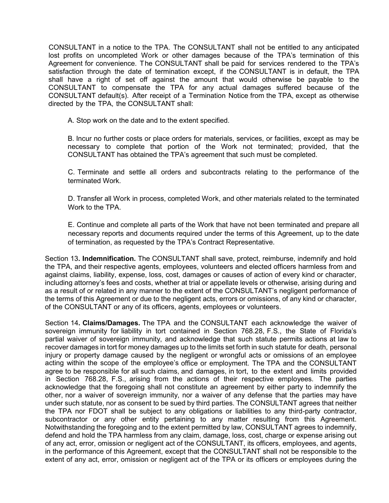CONSULTANT in a notice to the TPA. The CONSULTANT shall not be entitled to any anticipated lost profits on uncompleted Work or other damages because of the TPA's termination of this Agreement for convenience. The CONSULTANT shall be paid for services rendered to the TPA's satisfaction through the date of termination except, if the CONSULTANT is in default, the TPA shall have a right of set off against the amount that would otherwise be payable to the CONSULTANT to compensate the TPA for any actual damages suffered because of the CONSULTANT default(s). After receipt of a Termination Notice from the TPA, except as otherwise directed by the TPA, the CONSULTANT shall:

A. Stop work on the date and to the extent specified.

B. Incur no further costs or place orders for materials, services, or facilities, except as may be necessary to complete that portion of the Work not terminated; provided, that the CONSULTANT has obtained the TPA's agreement that such must be completed.

C. Terminate and settle all orders and subcontracts relating to the performance of the terminated Work.

D. Transfer all Work in process, completed Work, and other materials related to the terminated Work to the TPA.

E. Continue and complete all parts of the Work that have not been terminated and prepare all necessary reports and documents required under the terms of this Agreement, up to the date of termination, as requested by the TPA's Contract Representative.

Section 13**. Indemnification.** The CONSULTANT shall save, protect, reimburse, indemnify and hold the TPA, and their respective agents, employees, volunteers and elected officers harmless from and against claims, liability, expense, loss, cost, damages or causes of action of every kind or character, including attorney's fees and costs, whether at trial or appellate levels or otherwise, arising during and as a result of or related in any manner to the extent of the CONSULTANT's negligent performance of the terms of this Agreement or due to the negligent acts, errors or omissions, of any kind or character, of the CONSULTANT or any of its officers, agents, employees or volunteers.

Section 14**. Claims/Damages.** The TPA and the CONSULTANT each acknowledge the waiver of sovereign immunity for liability in tort contained in Section 768.28, F.S., the State of Florida's partial waiver of sovereign immunity, and acknowledge that such statute permits actions at law to recover damages in tort for money damages up to the limits set forth in such statute for death, personal injury or property damage caused by the negligent or wrongful acts or omissions of an employee acting within the scope of the employee's office or employment. The TPA and the CONSULTANT agree to be responsible for all such claims, and damages, in tort, to the extent and limits provided in Section 768.28, F.S., arising from the actions of their respective employees. The parties acknowledge that the foregoing shall not constitute an agreement by either party to indemnify the other, nor a waiver of sovereign immunity, nor a waiver of any defense that the parties may have under such statute, nor as consent to be sued by third parties. The CONSULTANT agrees that neither the TPA nor FDOT shall be subject to any obligations or liabilities to any third-party contractor, subcontractor or any other entity pertaining to any matter resulting from this Agreement. Notwithstanding the foregoing and to the extent permitted by law, CONSULTANT agrees to indemnify, defend and hold the TPA harmless from any claim, damage, loss, cost, charge or expense arising out of any act, error, omission or negligent act of the CONSULTANT, its officers, employees, and agents, in the performance of this Agreement, except that the CONSULTANT shall not be responsible to the extent of any act, error, omission or negligent act of the TPA or its officers or employees during the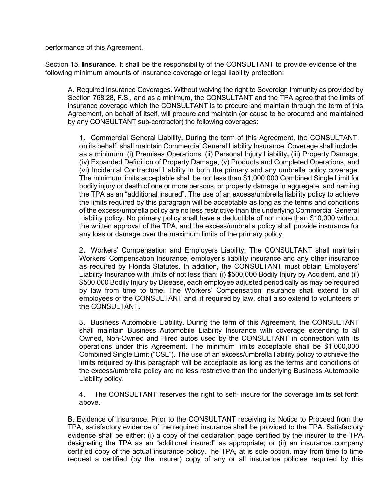performance of this Agreement.

Section 15. **Insurance**. It shall be the responsibility of the CONSULTANT to provide evidence of the following minimum amounts of insurance coverage or legal liability protection:

A. Required Insurance Coverages. Without waiving the right to Sovereign Immunity as provided by Section 768.28, F.S., and as a minimum, the CONSULTANT and the TPA agree that the limits of insurance coverage which the CONSULTANT is to procure and maintain through the term of this Agreement, on behalf of itself, will procure and maintain (or cause to be procured and maintained by any CONSULTANT sub-contractor) the following coverages:

1. Commercial General Liability**.** During the term of this Agreement, the CONSULTANT, on its behalf, shall maintain Commercial General Liability Insurance. Coverage shall include, as a minimum: (i) Premises Operations, (ii) Personal Injury Liability**,** (iii) Property Damage, (iv) Expanded Definition of Property Damage, (v) Products and Completed Operations, and (vi) Incidental Contractual Liability in both the primary and any umbrella policy coverage. The minimum limits acceptable shall be not less than \$1,000,000 Combined Single Limit for bodily injury or death of one or more persons, or property damage in aggregate, and naming the TPA as an "additional insured". The use of an excess/umbrella liability policy to achieve the limits required by this paragraph will be acceptable as long as the terms and conditions of the excess/umbrella policy are no less restrictive than the underlying Commercial General Liability policy. No primary policy shall have a deductible of not more than \$10,000 without the written approval of the TPA, and the excess/umbrella policy shall provide insurance for any loss or damage over the maximum limits of the primary policy.

2. Workers' Compensation and Employers Liability. The CONSULTANT shall maintain Workers' Compensation Insurance, employer's liability insurance and any other insurance as required by Florida Statutes. In addition, the CONSULTANT must obtain Employers' Liability Insurance with limits of not less than: (i) \$500,000 Bodily Injury by Accident, and (ii) \$500,000 Bodily Injury by Disease, each employee adjusted periodically as may be required by law from time to time. The Workers' Compensation insurance shall extend to all employees of the CONSULTANT and, if required by law, shall also extend to volunteers of the CONSULTANT.

3. Business Automobile Liability. During the term of this Agreement, the CONSULTANT shall maintain Business Automobile Liability Insurance with coverage extending to all Owned, Non-Owned and Hired autos used by the CONSULTANT in connection with its operations under this Agreement. The minimum limits acceptable shall be \$1,000,000 Combined Single Limit ("CSL"). The use of an excess/umbrella liability policy to achieve the limits required by this paragraph will be acceptable as long as the terms and conditions of the excess/umbrella policy are no less restrictive than the underlying Business Automobile Liability policy.

4. The CONSULTANT reserves the right to self- insure for the coverage limits set forth above.

B. Evidence of Insurance. Prior to the CONSULTANT receiving its Notice to Proceed from the TPA, satisfactory evidence of the required insurance shall be provided to the TPA. Satisfactory evidence shall be either: (i) a copy of the declaration page certified by the insurer to the TPA designating the TPA as an "additional insured" as appropriate; or (ii) an insurance company certified copy of the actual insurance policy. he TPA, at is sole option, may from time to time request a certified (by the insurer) copy of any or all insurance policies required by this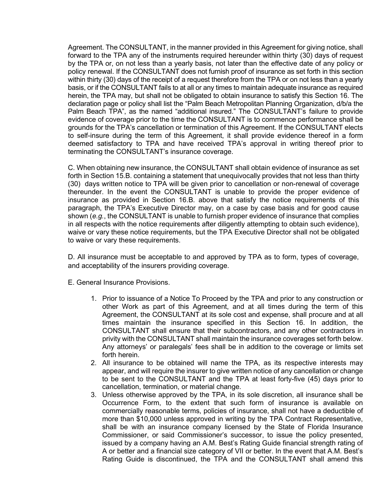Agreement. The CONSULTANT, in the manner provided in this Agreement for giving notice, shall forward to the TPA any of the instruments required hereunder within thirty (30) days of request by the TPA or, on not less than a yearly basis, not later than the effective date of any policy or policy renewal. If the CONSULTANT does not furnish proof of insurance as set forth in this section within thirty (30) days of the receipt of a request therefore from the TPA or on not less than a yearly basis, or if the CONSULTANT fails to at all or any times to maintain adequate insurance as required herein, the TPA may, but shall not be obligated to obtain insurance to satisfy this Section 16. The declaration page or policy shall list the "Palm Beach Metropolitan Planning Organization, d/b/a the Palm Beach TPA", as the named "additional insured." The CONSULTANT's failure to provide evidence of coverage prior to the time the CONSULTANT is to commence performance shall be grounds for the TPA's cancellation or termination of this Agreement. If the CONSULTANT elects to self-insure during the term of this Agreement, it shall provide evidence thereof in a form deemed satisfactory to TPA and have received TPA's approval in writing thereof prior to terminating the CONSULTANT's insurance coverage.

C. When obtaining new insurance, the CONSULTANT shall obtain evidence of insurance as set forth in Section 15.B. containing a statement that unequivocally provides that not less than thirty (30) days written notice to TPA will be given prior to cancellation or non-renewal of coverage thereunder. In the event the CONSULTANT is unable to provide the proper evidence of insurance as provided in Section 16.B. above that satisfy the notice requirements of this paragraph, the TPA's Executive Director may, on a case by case basis and for good cause shown (*e.g.*, the CONSULTANT is unable to furnish proper evidence of insurance that complies in all respects with the notice requirements after diligently attempting to obtain such evidence), waive or vary these notice requirements, but the TPA Executive Director shall not be obligated to waive or vary these requirements.

D. All insurance must be acceptable to and approved by TPA as to form, types of coverage, and acceptability of the insurers providing coverage.

- E. General Insurance Provisions.
	- 1. Prior to issuance of a Notice To Proceed by the TPA and prior to any construction or other Work as part of this Agreement, and at all times during the term of this Agreement, the CONSULTANT at its sole cost and expense, shall procure and at all times maintain the insurance specified in this Section 16. In addition, the CONSULTANT shall ensure that their subcontractors, and any other contractors in privity with the CONSULTANT shall maintain the insurance coverages set forth below. Any attorneys' or paralegals' fees shall be in addition to the coverage or limits set forth herein.
	- 2. All insurance to be obtained will name the TPA, as its respective interests may appear, and will require the insurer to give written notice of any cancellation or change to be sent to the CONSULTANT and the TPA at least forty-five (45) days prior to cancellation, termination, or material change.
	- 3. Unless otherwise approved by the TPA, in its sole discretion, all insurance shall be Occurrence Form, to the extent that such form of insurance is available on commercially reasonable terms, policies of insurance, shall not have a deductible of more than \$10,000 unless approved in writing by the TPA Contract Representative, shall be with an insurance company licensed by the State of Florida Insurance Commissioner, or said Commissioner's successor, to issue the policy presented, issued by a company having an A.M. Best's Rating Guide financial strength rating of A or better and a financial size category of VII or better. In the event that A.M. Best's Rating Guide is discontinued, the TPA and the CONSULTANT shall amend this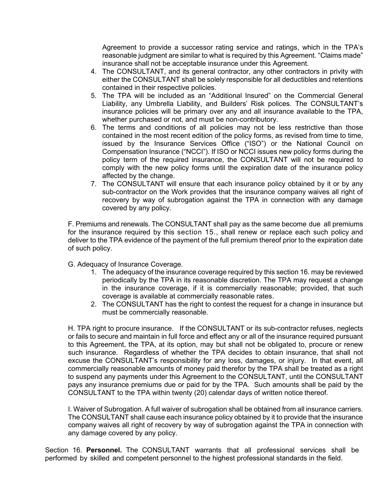Agreement to provide a successor rating service and ratings, which in the TPA's reasonable judgment are similar to what is required by this Agreement. "Claims made" insurance shall not be acceptable insurance under this Agreement.

- 4. The CONSULTANT, and its general contractor, any other contractors in privity with either the CONSULTANT shall be solely responsible for all deductibles and retentions contained in their respective policies.
- 5. The TPA will be included as an "Additional Insured" on the Commercial General Liability, any Umbrella Liability, and Builders' Risk polices. The CONSULTANT's insurance policies will be primary over any and all insurance available to the TPA, whether purchased or not, and must be non-contributory.
- 6. The terms and conditions of all policies may not be less restrictive than those contained in the most recent edition of the policy forms, as revised from time to time, issued by the Insurance Services Office ("ISO") or the National Council on Compensation Insurance ("NCCI"). If ISO or NCCI issues new policy forms during the policy term of the required insurance, the CONSULTANT will not be required to comply with the new policy forms until the expiration date of the insurance policy affected by the change.
- 7. The CONSULTANT will ensure that each insurance policy obtained by it or by any sub-contractor on the Work provides that the insurance company waives all right of recovery by way of subrogation against the TPA in connection with any damage covered by any policy.

F. Premiums and renewals. The CONSULTANT shall pay as the same become due all premiums for the insurance required by this section 15., shall renew or replace each such policy and deliver to the TPA evidence of the payment of the full premium thereof prior to the expiration date of such policy.

- G. Adequacy of Insurance Coverage.
	- 1. The adequacy of the insurance coverage required by this section 16. may be reviewed periodically by the TPA in its reasonable discretion. The TPA may request a change in the insurance coverage, if it is commercially reasonable; provided, that such coverage is available at commercially reasonable rates.
	- 2. The CONSULTANT has the right to contest the request for a change in insurance but must be commercially reasonable.

H. TPA right to procure insurance. If the CONSULTANT or its sub-contractor refuses, neglects or fails to secure and maintain in full force and effect any or all of the insurance required pursuant to this Agreement, the TPA, at its option, may but shall not be obligated to, procure or renew such insurance. Regardless of whether the TPA decides to obtain insurance, that shall not excuse the CONSULTANT's responsibility for any loss, damages, or injury. In that event, all commercially reasonable amounts of money paid therefor by the TPA shall be treated as a right to suspend any payments under this Agreement to the CONSULTANT, until the CONSULTANT pays any insurance premiums due or paid for by the TPA. Such amounts shall be paid by the CONSULTANT to the TPA within twenty (20) calendar days of written notice thereof.

I. Waiver of Subrogation. A full waiver of subrogation shall be obtained from all insurance carriers. The CONSULTANT shall cause each insurance policy obtained by it to provide that the insurance company waives all right of recovery by way of subrogation against the TPA in connection with any damage covered by any policy.

Section 16. **Personnel.** The CONSULTANT warrants that all professional services shall be performed by skilled and competent personnel to the highest professional standards in the field.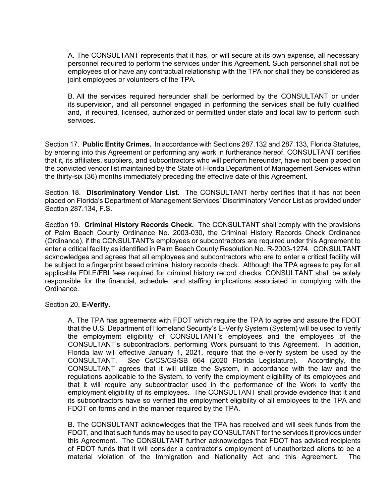A. The CONSULTANT represents that it has, or will secure at its own expense, all necessary personnel required to perform the services under this Agreement. Such personnel shall not be employees of or have any contractual relationship with the TPA nor shall they be considered as joint employees or volunteers of the TPA.

B. All the services required hereunder shall be performed by the CONSULTANT or under its supervision, and all personnel engaged in performing the services shall be fully qualified and, if required, licensed, authorized or permitted under state and local law to perform such services.

Section 17. **Public Entity Crimes.** In accordance with Sections 287.132 and 287.133, Florida Statutes, by entering into this Agreement or performing any work in furtherance hereof, CONSULTANT certifies that it, its affiliates, suppliers, and subcontractors who will perform hereunder, have not been placed on the convicted vendor list maintained by the State of Florida Department of Management Services within the thirty-six (36) months immediately preceding the effective date of this Agreement.

Section 18. **Discriminatory Vendor List.** The CONSULTANT herby certifies that it has not been placed on Florida's Department of Management Services' Discriminatory Vendor List as provided under Section 287.134, F.S.

Section 19. **Criminal History Records Check.** The CONSULTANT shall comply with the provisions of Palm Beach County Ordinance No. 2003-030, the Criminal History Records Check Ordinance (Ordinance), if the CONSULTANT's employees or subcontractors are required under this Agreement to enter a critical facility as identified in Palm Beach County Resolution No. R-2003-1274. CONSULTANT acknowledges and agrees that all employees and subcontractors who are to enter a critical facility will be subject to a fingerprint based criminal history records check. Although the TPA agrees to pay for all applicable FDLE/FBI fees required for criminal history record checks, CONSULTANT shall be solely responsible for the financial, schedule, and staffing implications associated in complying with the Ordinance.

Section 20. **E-Verify.**

A. The TPA has agreements with FDOT which require the TPA to agree and assure the FDOT that the U.S. Department of Homeland Security's E-Verify System (System) will be used to verify the employment eligibility of CONSULTANT's employees and the employees of the CONSULTANT's subcontractors, performing Work pursuant to this Agreement. In addition, Florida law will effective January 1, 2021, require that the e-verify system be used by the CONSULTANT. *See* Cs/CS/CS/SB 664 (2020 Florida Legislature). Accordingly, the CONSULTANT agrees that it will utilize the System, in accordance with the law and the regulations applicable to the System, to verify the employment eligibility of its employees and that it will require any subcontractor used in the performance of the Work to verify the employment eligibility of its employees. The CONSULTANT shall provide evidence that it and its subcontractors have so verified the employment eligibility of all employees to the TPA and FDOT on forms and in the manner required by the TPA.

B. The CONSULTANT acknowledges that the TPA has received and will seek funds from the FDOT, and that such funds may be used to pay CONSULTANT for the services it provides under this Agreement. The CONSULTANT further acknowledges that FDOT has advised recipients of FDOT funds that it will consider a contractor's employment of unauthorized aliens to be a material violation of the Immigration and Nationality Act and this Agreement. The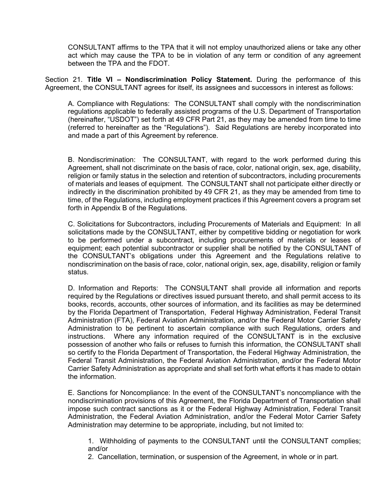CONSULTANT affirms to the TPA that it will not employ unauthorized aliens or take any other act which may cause the TPA to be in violation of any term or condition of any agreement between the TPA and the FDOT.

Section 21. **Title VI – Nondiscrimination Policy Statement.** During the performance of this Agreement, the CONSULTANT agrees for itself, its assignees and successors in interest as follows:

A. Compliance with Regulations: The CONSULTANT shall comply with the nondiscrimination regulations applicable to federally assisted programs of the U.S. Department of Transportation (hereinafter, "USDOT") set forth at 49 CFR Part 21, as they may be amended from time to time (referred to hereinafter as the "Regulations"). Said Regulations are hereby incorporated into and made a part of this Agreement by reference.

B. Nondiscrimination: The CONSULTANT, with regard to the work performed during this Agreement, shall not discriminate on the basis of race, color, national origin, sex, age, disability, religion or family status in the selection and retention of subcontractors, including procurements of materials and leases of equipment. The CONSULTANT shall not participate either directly or indirectly in the discrimination prohibited by 49 CFR 21, as they may be amended from time to time, of the Regulations, including employment practices if this Agreement covers a program set forth in Appendix B of the Regulations.

C. Solicitations for Subcontractors, including Procurements of Materials and Equipment: In all solicitations made by the CONSULTANT, either by competitive bidding or negotiation for work to be performed under a subcontract, including procurements of materials or leases of equipment; each potential subcontractor or supplier shall be notified by the CONSULTANT of the CONSULTANT's obligations under this Agreement and the Regulations relative to nondiscrimination on the basis of race, color, national origin, sex, age, disability, religion or family status.

D. Information and Reports: The CONSULTANT shall provide all information and reports required by the Regulations or directives issued pursuant thereto, and shall permit access to its books, records, accounts, other sources of information, and its facilities as may be determined by the Florida Department of Transportation, Federal Highway Administration, Federal Transit Administration (FTA), Federal Aviation Administration, and/or the Federal Motor Carrier Safety Administration to be pertinent to ascertain compliance with such Regulations, orders and instructions. Where any information required of the CONSULTANT is in the exclusive possession of another who fails or refuses to furnish this information, the CONSULTANT shall so certify to the Florida Department of Transportation, the Federal Highway Administration, the Federal Transit Administration, the Federal Aviation Administration, and/or the Federal Motor Carrier Safety Administration as appropriate and shall set forth what efforts it has made to obtain the information.

E. Sanctions for Noncompliance: In the event of the CONSULTANT's noncompliance with the nondiscrimination provisions of this Agreement, the Florida Department of Transportation shall impose such contract sanctions as it or the Federal Highway Administration, Federal Transit Administration, the Federal Aviation Administration, and/or the Federal Motor Carrier Safety Administration may determine to be appropriate, including, but not limited to:

1. Withholding of payments to the CONSULTANT until the CONSULTANT complies; and/or

2. Cancellation, termination, or suspension of the Agreement, in whole or in part.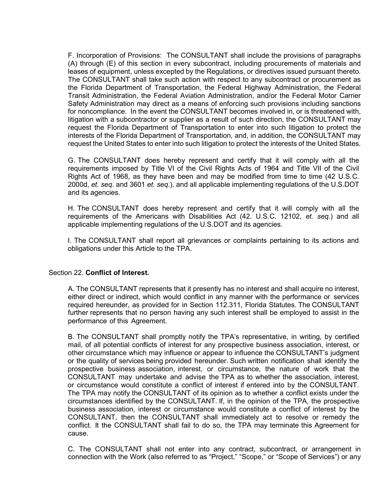F. Incorporation of Provisions: The CONSULTANT shall include the provisions of paragraphs (A) through (E) of this section in every subcontract, including procurements of materials and leases of equipment, unless excepted by the Regulations, or directives issued pursuant thereto. The CONSULTANT shall take such action with respect to any subcontract or procurement as the Florida Department of Transportation, the Federal Highway Administration, the Federal Transit Administration, the Federal Aviation Administration, and/or the Federal Motor Carrier Safety Administration may direct as a means of enforcing such provisions including sanctions for noncompliance. In the event the CONSULTANT becomes involved in, or is threatened with, litigation with a subcontractor or supplier as a result of such direction, the CONSULTANT may request the Florida Department of Transportation to enter into such litigation to protect the interests of the Florida Department of Transportation*,* and, in addition, the CONSULTANT may request the United States to enter into such litigation to protect the interests of the United States.

G. The CONSULTANT does hereby represent and certify that it will comply with all the requirements imposed by Title VI of the Civil Rights Acts of 1964 and Title VII of the Civil Rights Act of 1968, as they have been and may be modified from time to time (42 U.S.C. 2000d, *et. seq*. and 3601 *et. seq*.), and all applicable implementing regulations of the U.S.DOT and its agencies.

H. The CONSULTANT does hereby represent and certify that it will comply with all the requirements of the Americans with Disabilities Act (42. U.S.C. 12102, *et. seq.*) and all applicable implementing regulations of the U.S.DOT and its agencies.

I. The CONSULTANT shall report all grievances or complaints pertaining to its actions and obligations under this Article to the TPA.

#### Section 22. **Conflict of Interest.**

A. The CONSULTANT represents that it presently has no interest and shall acquire no interest, either direct or indirect, which would conflict in any manner with the performance or services required hereunder, as provided for in Section 112.311, Florida Statutes. The CONSULTANT further represents that no person having any such interest shall be employed to assist in the performance of this Agreement.

B. The CONSULTANT shall promptly notify the TPA's representative, in writing, by certified mail, of all potential conflicts of interest for any prospective business association, interest, or other circumstance which may influence or appear to influence the CONSULTANT's judgment or the quality of services being provided hereunder. Such written notification shall identify the prospective business association, interest, or circumstance, the nature of work that the CONSULTANT may undertake and advise the TPA as to whether the association, interest, or circumstance would constitute a conflict of interest if entered into by the CONSULTANT. The TPA may notify the CONSULTANT of its opinion as to whether a conflict exists under the circumstances identified by the CONSULTANT. If, in the opinion of the TPA, the prospective business association, interest or circumstance would constitute a conflict of interest by the CONSULTANT, then the CONSULTANT shall immediately act to resolve or remedy the conflict. It the CONSULTANT shall fail to do so, the TPA may terminate this Agreement for cause.

C. The CONSULTANT shall not enter into any contract, subcontract, or arrangement in connection with the Work (also referred to as "Project," "Scope," or "Scope of Services") or any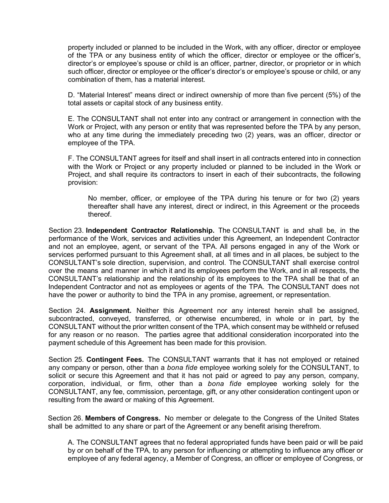property included or planned to be included in the Work, with any officer, director or employee of the TPA or any business entity of which the officer, director or employee or the officer's, director's or employee's spouse or child is an officer, partner, director, or proprietor or in which such officer, director or employee or the officer's director's or employee's spouse or child, or any combination of them, has a material interest.

D. "Material Interest" means direct or indirect ownership of more than five percent (5%) of the total assets or capital stock of any business entity.

E. The CONSULTANT shall not enter into any contract or arrangement in connection with the Work or Project, with any person or entity that was represented before the TPA by any person, who at any time during the immediately preceding two (2) years, was an officer, director or employee of the TPA.

F. The CONSULTANT agrees for itself and shall insert in all contracts entered into in connection with the Work or Project or any property included or planned to be included in the Work or Project, and shall require its contractors to insert in each of their subcontracts, the following provision:

No member, officer, or employee of the TPA during his tenure or for two (2) years thereafter shall have any interest, direct or indirect, in this Agreement or the proceeds thereof.

Section 23. **Independent Contractor Relationship.** The CONSULTANT is and shall be, in the performance of the Work, services and activities under this Agreement, an Independent Contractor and not an employee, agent, or servant of the TPA. All persons engaged in any of the Work or services performed pursuant to this Agreement shall, at all times and in all places, be subject to the CONSULTANT's sole direction, supervision, and control. The CONSULTANT shall exercise control over the means and manner in which it and its employees perform the Work, and in all respects, the CONSULTANT's relationship and the relationship of its employees to the TPA shall be that of an Independent Contractor and not as employees or agents of the TPA. The CONSULTANT does not have the power or authority to bind the TPA in any promise, agreement, or representation.

Section 24. **Assignment.** Neither this Agreement nor any interest herein shall be assigned, subcontracted, conveyed, transferred, or otherwise encumbered, in whole or in part, by the CONSULTANT without the prior written consent of the TPA, which consent may be withheld or refused for any reason or no reason. The parties agree that additional consideration incorporated into the payment schedule of this Agreement has been made for this provision.

Section 25. **Contingent Fees.** The CONSULTANT warrants that it has not employed or retained any company or person, other than a *bona fide* employee working solely for the CONSULTANT, to solicit or secure this Agreement and that it has not paid or agreed to pay any person, company, corporation, individual, or firm, other than a *bona fide* employee working solely for the CONSULTANT, any fee, commission, percentage, gift, or any other consideration contingent upon or resulting from the award or making of this Agreement.

Section 26. **Members of Congress.** No member or delegate to the Congress of the United States shall be admitted to any share or part of the Agreement or any benefit arising therefrom.

A. The CONSULTANT agrees that no federal appropriated funds have been paid or will be paid by or on behalf of the TPA, to any person for influencing or attempting to influence any officer or employee of any federal agency, a Member of Congress, an officer or employee of Congress, or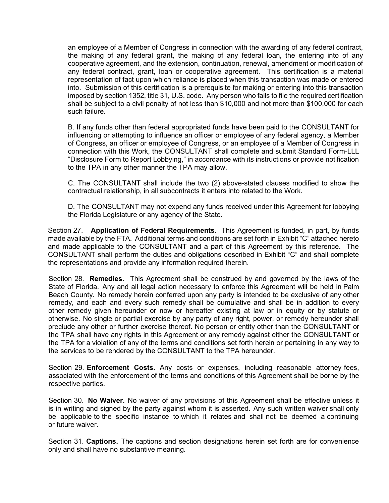an employee of a Member of Congress in connection with the awarding of any federal contract, the making of any federal grant, the making of any federal loan, the entering into of any cooperative agreement, and the extension, continuation, renewal, amendment or modification of any federal contract, grant, loan or cooperative agreement. This certification is a material representation of fact upon which reliance is placed when this transaction was made or entered into. Submission of this certification is a prerequisite for making or entering into this transaction imposed by section 1352, title 31, U.S. code. Any person who fails to file the required certification shall be subject to a civil penalty of not less than \$10,000 and not more than \$100,000 for each such failure.

B. If any funds other than federal appropriated funds have been paid to the CONSULTANT for influencing or attempting to influence an officer or employee of any federal agency, a Member of Congress, an officer or employee of Congress, or an employee of a Member of Congress in connection with this Work, the CONSULTANT shall complete and submit Standard Form-LLL "Disclosure Form to Report Lobbying," in accordance with its instructions or provide notification to the TPA in any other manner the TPA may allow.

C. The CONSULTANT shall include the two (2) above-stated clauses modified to show the contractual relationship, in all subcontracts it enters into related to the Work.

D. The CONSULTANT may not expend any funds received under this Agreement for lobbying the Florida Legislature or any agency of the State.

Section 27. **Application of Federal Requirements.** This Agreement is funded, in part, by funds made available by the FTA. Additional terms and conditions are set forth in Exhibit "C" attached hereto and made applicable to the CONSULTANT and a part of this Agreement by this reference. The CONSULTANT shall perform the duties and obligations described in Exhibit "C" and shall complete the representations and provide any information required therein.

Section 28. **Remedies.** This Agreement shall be construed by and governed by the laws of the State of Florida. Any and all legal action necessary to enforce this Agreement will be held in Palm Beach County. No remedy herein conferred upon any party is intended to be exclusive of any other remedy, and each and every such remedy shall be cumulative and shall be in addition to every other remedy given hereunder or now or hereafter existing at law or in equity or by statute or otherwise. No single or partial exercise by any party of any right, power, or remedy hereunder shall preclude any other or further exercise thereof. No person or entity other than the CONSULTANT or the TPA shall have any rights in this Agreement or any remedy against either the CONSULTANT or the TPA for a violation of any of the terms and conditions set forth herein or pertaining in any way to the services to be rendered by the CONSULTANT to the TPA hereunder.

Section 29. **Enforcement Costs.** Any costs or expenses, including reasonable attorney fees, associated with the enforcement of the terms and conditions of this Agreement shall be borne by the respective parties.

Section 30. **No Waiver.** No waiver of any provisions of this Agreement shall be effective unless it is in writing and signed by the party against whom it is asserted. Any such written waiver shall only be applicable to the specific instance to which it relates and shall not be deemed a continuing or future waiver.

Section 31. **Captions.** The captions and section designations herein set forth are for convenience only and shall have no substantive meaning.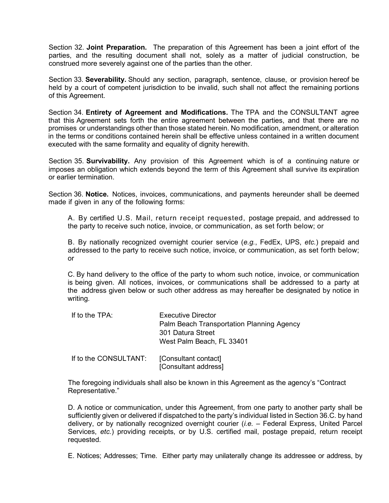Section 32. **Joint Preparation.** The preparation of this Agreement has been a joint effort of the parties, and the resulting document shall not, solely as a matter of judicial construction, be construed more severely against one of the parties than the other.

Section 33. **Severability.** Should any section, paragraph, sentence, clause, or provision hereof be held by a court of competent jurisdiction to be invalid, such shall not affect the remaining portions of this Agreement.

Section 34. **Entirety of Agreement and Modifications.** The TPA and the CONSULTANT agree that this Agreement sets forth the entire agreement between the parties, and that there are no promises or understandings other than those stated herein. No modification, amendment, or alteration in the terms or conditions contained herein shall be effective unless contained in a written document executed with the same formality and equality of dignity herewith.

Section 35. **Survivability.** Any provision of this Agreement which is of a continuing nature or imposes an obligation which extends beyond the term of this Agreement shall survive its expiration or earlier termination.

Section 36. **Notice.** Notices, invoices, communications, and payments hereunder shall be deemed made if given in any of the following forms:

A. By certified U.S. Mail, return receipt requested, postage prepaid, and addressed to the party to receive such notice, invoice, or communication, as set forth below; or

B. By nationally recognized overnight courier service (*e.g.*, FedEx, UPS, *etc.*) prepaid and addressed to the party to receive such notice, invoice, or communication, as set forth below; or

C. By hand delivery to the office of the party to whom such notice, invoice, or communication is being given. All notices, invoices, or communications shall be addressed to a party at the address given below or such other address as may hereafter be designated by notice in writing.

| If to the TPA:        | Executive Director<br>Palm Beach Transportation Planning Agency<br>301 Datura Street<br>West Palm Beach, FL 33401 |
|-----------------------|-------------------------------------------------------------------------------------------------------------------|
| If to the CONSULTANT: | [Consultant contact]                                                                                              |

[Consultant address]

The foregoing individuals shall also be known in this Agreement as the agency's "Contract Representative."

D. A notice or communication, under this Agreement, from one party to another party shall be sufficiently given or delivered if dispatched to the party's individual listed in Section 36.C. by hand delivery, or by nationally recognized overnight courier (*i.e.* – Federal Express, United Parcel Services, *etc.*) providing receipts, or by U.S. certified mail, postage prepaid, return receipt requested.

E. Notices; Addresses; Time. Either party may unilaterally change its addressee or address, by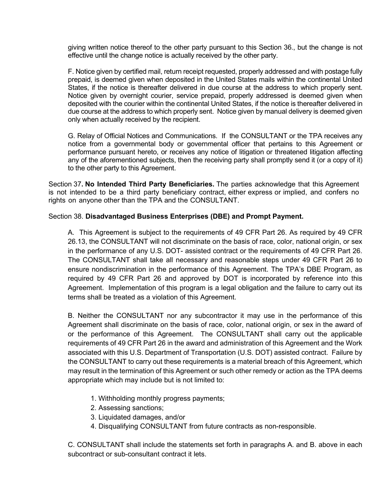giving written notice thereof to the other party pursuant to this Section 36., but the change is not effective until the change notice is actually received by the other party.

F. Notice given by certified mail, return receipt requested, properly addressed and with postage fully prepaid, is deemed given when deposited in the United States mails within the continental United States, if the notice is thereafter delivered in due course at the address to which properly sent. Notice given by overnight courier, service prepaid, properly addressed is deemed given when deposited with the courier within the continental United States, if the notice is thereafter delivered in due course at the address to which properly sent. Notice given by manual delivery is deemed given only when actually received by the recipient.

G. Relay of Official Notices and Communications. If the CONSULTANT or the TPA receives any notice from a governmental body or governmental officer that pertains to this Agreement or performance pursuant hereto, or receives any notice of litigation or threatened litigation affecting any of the aforementioned subjects, then the receiving party shall promptly send it (or a copy of it) to the other party to this Agreement.

Section 37**. No Intended Third Party Beneficiaries.** The parties acknowledge that this Agreement is not intended to be a third party beneficiary contract, either express or implied, and confers no rights on anyone other than the TPA and the CONSULTANT.

# Section 38. **Disadvantaged Business Enterprises (DBE) and Prompt Payment.**

A. This Agreement is subject to the requirements of 49 CFR Part 26. As required by 49 CFR 26.13, the CONSULTANT will not discriminate on the basis of race, color, national origin, or sex in the performance of any U.S. DOT- assisted contract or the requirements of 49 CFR Part 26. The CONSULTANT shall take all necessary and reasonable steps under 49 CFR Part 26 to ensure nondiscrimination in the performance of this Agreement. The TPA's DBE Program, as required by 49 CFR Part 26 and approved by DOT is incorporated by reference into this Agreement. Implementation of this program is a legal obligation and the failure to carry out its terms shall be treated as a violation of this Agreement.

B. Neither the CONSULTANT nor any subcontractor it may use in the performance of this Agreement shall discriminate on the basis of race, color, national origin, or sex in the award of or the performance of this Agreement. The CONSULTANT shall carry out the applicable requirements of 49 CFR Part 26 in the award and administration of this Agreement and the Work associated with this U.S. Department of Transportation (U.S. DOT) assisted contract. Failure by the CONSULTANT to carry out these requirements is a material breach of this Agreement, which may result in the termination of this Agreement or such other remedy or action as the TPA deems appropriate which may include but is not limited to:

- 1. Withholding monthly progress payments;
- 2. Assessing sanctions;
- 3. Liquidated damages, and/or
- 4. Disqualifying CONSULTANT from future contracts as non-responsible.

C. CONSULTANT shall include the statements set forth in paragraphs A. and B. above in each subcontract or sub-consultant contract it lets.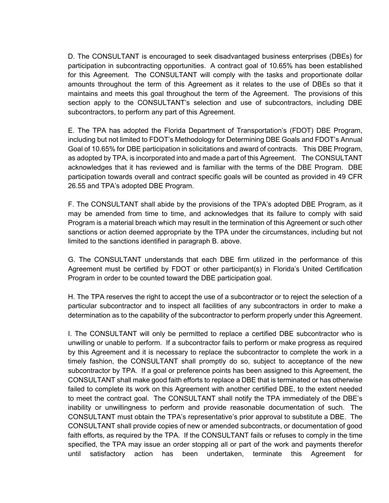D. The CONSULTANT is encouraged to seek disadvantaged business enterprises (DBEs) for participation in subcontracting opportunities. A contract goal of 10.65% has been established for this Agreement. The CONSULTANT will comply with the tasks and proportionate dollar amounts throughout the term of this Agreement as it relates to the use of DBEs so that it maintains and meets this goal throughout the term of the Agreement. The provisions of this section apply to the CONSULTANT's selection and use of subcontractors, including DBE subcontractors, to perform any part of this Agreement.

E. The TPA has adopted the Florida Department of Transportation's (FDOT) DBE Program, including but not limited to FDOT's Methodology for Determining DBE Goals and FDOT's Annual Goal of 10.65% for DBE participation in solicitations and award of contracts. This DBE Program, as adopted by TPA, is incorporated into and made a part of this Agreement. The CONSULTANT acknowledges that it has reviewed and is familiar with the terms of the DBE Program. DBE participation towards overall and contract specific goals will be counted as provided in 49 CFR 26.55 and TPA's adopted DBE Program.

F. The CONSULTANT shall abide by the provisions of the TPA's adopted DBE Program, as it may be amended from time to time, and acknowledges that its failure to comply with said Program is a material breach which may result in the termination of this Agreement or such other sanctions or action deemed appropriate by the TPA under the circumstances, including but not limited to the sanctions identified in paragraph B. above.

G. The CONSULTANT understands that each DBE firm utilized in the performance of this Agreement must be certified by FDOT or other participant(s) in Florida's United Certification Program in order to be counted toward the DBE participation goal.

H. The TPA reserves the right to accept the use of a subcontractor or to reject the selection of a particular subcontractor and to inspect all facilities of any subcontractors in order to make a determination as to the capability of the subcontractor to perform properly under this Agreement.

I. The CONSULTANT will only be permitted to replace a certified DBE subcontractor who is unwilling or unable to perform. If a subcontractor fails to perform or make progress as required by this Agreement and it is necessary to replace the subcontractor to complete the work in a timely fashion, the CONSULTANT shall promptly do so, subject to acceptance of the new subcontractor by TPA. If a goal or preference points has been assigned to this Agreement, the CONSULTANT shall make good faith efforts to replace a DBE that is terminated or has otherwise failed to complete its work on this Agreement with another certified DBE, to the extent needed to meet the contract goal. The CONSULTANT shall notify the TPA immediately of the DBE's inability or unwillingness to perform and provide reasonable documentation of such. The CONSULTANT must obtain the TPA's representative's prior approval to substitute a DBE. The CONSULTANT shall provide copies of new or amended subcontracts, or documentation of good faith efforts, as required by the TPA. If the CONSULTANT fails or refuses to comply in the time specified, the TPA may issue an order stopping all or part of the work and payments therefor until satisfactory action has been undertaken, terminate this Agreement for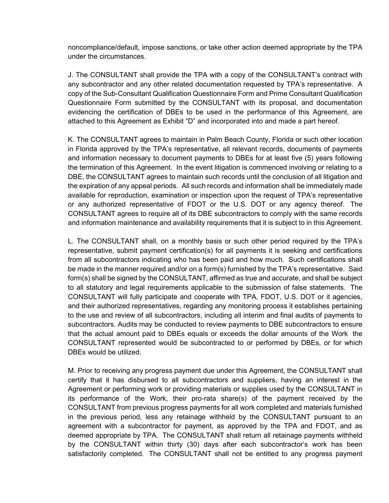noncompliance/default, impose sanctions, or take other action deemed appropriate by the TPA under the circumstances.

J. The CONSULTANT shall provide the TPA with a copy of the CONSULTANT's contract with any subcontractor and any other related documentation requested by TPA's representative. A copy of the Sub-Consultant Qualification Questionnaire Form and Prime Consultant Qualification Questionnaire Form submitted by the CONSULTANT with its proposal, and documentation evidencing the certification of DBEs to be used in the performance of this Agreement, are attached to this Agreement as Exhibit "D" and incorporated into and made a part hereof.

K. The CONSULTANT agrees to maintain in Palm Beach County, Florida or such other location in Florida approved by the TPA's representative, all relevant records, documents of payments and information necessary to document payments to DBEs for at least five (5) years following the termination of this Agreement. In the event litigation is commenced involving or relating to a DBE, the CONSULTANT agrees to maintain such records until the conclusion of all litigation and the expiration of any appeal periods. All such records and information shall be immediately made available for reproduction, examination or inspection upon the request of TPA's representative or any authorized representative of FDOT or the U.S. DOT or any agency thereof. The CONSULTANT agrees to require all of its DBE subcontractors to comply with the same records and information maintenance and availability requirements that it is subject to in this Agreement.

L. The CONSULTANT shall, on a monthly basis or such other period required by the TPA's representative, submit payment certification(s) for all payments it is seeking and certifications from all subcontractors indicating who has been paid and how much. Such certifications shall be made in the manner required and/or on a form(s) furnished by the TPA's representative. Said form(s) shall be signed by the CONSULTANT, affirmed as true and accurate, and shall be subject to all statutory and legal requirements applicable to the submission of false statements. The CONSULTANT will fully participate and cooperate with TPA, FDOT, U.S. DOT or it agencies, and their authorized representatives, regarding any monitoring process it establishes pertaining to the use and review of all subcontractors, including all interim and final audits of payments to subcontractors. Audits may be conducted to review payments to DBE subcontractors to ensure that the actual amount paid to DBEs equals or exceeds the dollar amounts of the Work the CONSULTANT represented would be subcontracted to or performed by DBEs, or for which DBEs would be utilized.

M. Prior to receiving any progress payment due under this Agreement, the CONSULTANT shall certify that it has disbursed to all subcontractors and suppliers, having an interest in the Agreement or performing work or providing materials or supplies used by the CONSULTANT in its performance of the Work, their pro-rata share(s) of the payment received by the CONSULTANT from previous progress payments for all work completed and materials furnished in the previous period, less any retainage withheld by the CONSULTANT pursuant to an agreement with a subcontractor for payment, as approved by the TPA and FDOT, and as deemed appropriate by TPA. The CONSULTANT shall return all retainage payments withheld by the CONSULTANT within thirty (30) days after each subcontractor's work has been satisfactorily completed. The CONSULTANT shall not be entitled to any progress payment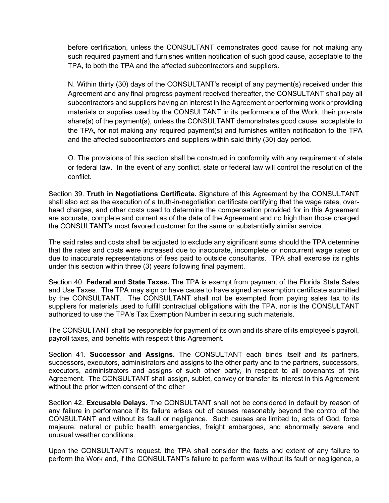before certification, unless the CONSULTANT demonstrates good cause for not making any such required payment and furnishes written notification of such good cause, acceptable to the TPA, to both the TPA and the affected subcontractors and suppliers.

N. Within thirty (30) days of the CONSULTANT's receipt of any payment(s) received under this Agreement and any final progress payment received thereafter, the CONSULTANT shall pay all subcontractors and suppliers having an interest in the Agreement or performing work or providing materials or supplies used by the CONSULTANT in its performance of the Work, their pro-rata share(s) of the payment(s), unless the CONSULTANT demonstrates good cause, acceptable to the TPA, for not making any required payment(s) and furnishes written notification to the TPA and the affected subcontractors and suppliers within said thirty (30) day period.

O. The provisions of this section shall be construed in conformity with any requirement of state or federal law. In the event of any conflict, state or federal law will control the resolution of the conflict.

Section 39. **Truth in Negotiations Certificate.** Signature of this Agreement by the CONSULTANT shall also act as the execution of a truth-in-negotiation certificate certifying that the wage rates, overhead charges, and other costs used to determine the compensation provided for in this Agreement are accurate, complete and current as of the date of the Agreement and no high than those charged the CONSULTANT's most favored customer for the same or substantially similar service.

The said rates and costs shall be adjusted to exclude any significant sums should the TPA determine that the rates and costs were increased due to inaccurate, incomplete or noncurrent wage rates or due to inaccurate representations of fees paid to outside consultants. TPA shall exercise its rights under this section within three (3) years following final payment.

Section 40. **Federal and State Taxes.** The TPA is exempt from payment of the Florida State Sales and Use Taxes. The TPA may sign or have cause to have signed an exemption certificate submitted by the CONSULTANT. The CONSULTANT shall not be exempted from paying sales tax to its suppliers for materials used to fulfill contractual obligations with the TPA, nor is the CONSULTANT authorized to use the TPA's Tax Exemption Number in securing such materials.

The CONSULTANT shall be responsible for payment of its own and its share of its employee's payroll, payroll taxes, and benefits with respect t this Agreement.

Section 41. **Successor and Assigns.** The CONSULTANT each binds itself and its partners, successors, executors, administrators and assigns to the other party and to the partners, successors, executors, administrators and assigns of such other party, in respect to all covenants of this Agreement. The CONSULTANT shall assign, sublet, convey or transfer its interest in this Agreement without the prior written consent of the other

Section 42. **Excusable Delays.** The CONSULTANT shall not be considered in default by reason of any failure in performance if its failure arises out of causes reasonably beyond the control of the CONSULTANT and without its fault or negligence. Such causes are limited to, acts of God, force majeure, natural or public health emergencies, freight embargoes, and abnormally severe and unusual weather conditions.

Upon the CONSULTANT's request, the TPA shall consider the facts and extent of any failure to perform the Work and, if the CONSULTANT's failure to perform was without its fault or negligence, a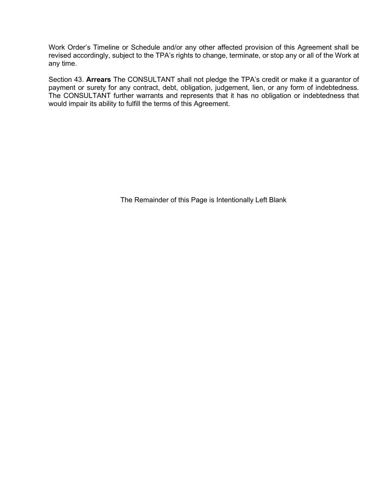Work Order's Timeline or Schedule and/or any other affected provision of this Agreement shall be revised accordingly, subject to the TPA's rights to change, terminate, or stop any or all of the Work at any time.

Section 43. **Arrears** The CONSULTANT shall not pledge the TPA's credit or make it a guarantor of payment or surety for any contract, debt, obligation, judgement, lien, or any form of indebtedness. The CONSULTANT further warrants and represents that it has no obligation or indebtedness that would impair its ability to fulfill the terms of this Agreement.

The Remainder of this Page is Intentionally Left Blank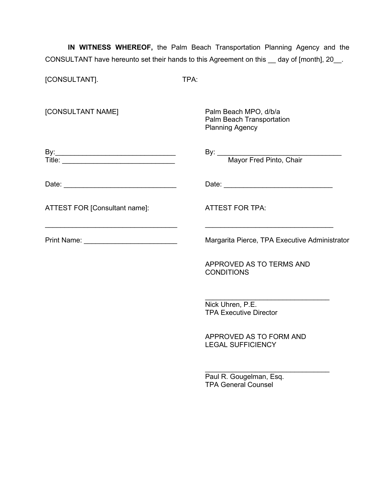**IN WITNESS WHEREOF,** the Palm Beach Transportation Planning Agency and the CONSULTANT have hereunto set their hands to this Agreement on this \_\_ day of [month], 20\_\_.

| [CONSULTANT].                            | TPA:                                                                                                                                                                                                                          |  |
|------------------------------------------|-------------------------------------------------------------------------------------------------------------------------------------------------------------------------------------------------------------------------------|--|
| [CONSULTANT NAME]                        | Palm Beach MPO, d/b/a<br>Palm Beach Transportation<br><b>Planning Agency</b>                                                                                                                                                  |  |
|                                          | By: <u>Mayor Fred Pinto, Chair</u>                                                                                                                                                                                            |  |
|                                          | Date: Note: Note: Note: Note: Note: Note: Note: Note: Note: Note: Note: Note: Note: Note: Note: Note: Note: Note: Note: Note: Note: Note: Note: Note: Note: Note: Note: Note: Note: Note: Note: Note: Note: Note: Note: Note: |  |
| ATTEST FOR [Consultant name]:            | <b>ATTEST FOR TPA:</b>                                                                                                                                                                                                        |  |
| Print Name: ____________________________ | Margarita Pierce, TPA Executive Administrator                                                                                                                                                                                 |  |
|                                          | APPROVED AS TO TERMS AND<br><b>CONDITIONS</b>                                                                                                                                                                                 |  |
|                                          | Nick Uhren, P.E.<br><b>TPA Executive Director</b>                                                                                                                                                                             |  |
|                                          | APPROVED AS TO FORM AND<br><b>LEGAL SUFFICIENCY</b>                                                                                                                                                                           |  |
|                                          | $\sim$ $\sim$ $\sim$ $\sim$ $\sim$ $\sim$ $\sim$                                                                                                                                                                              |  |

Paul R. Gougelman, Esq. TPA General Counsel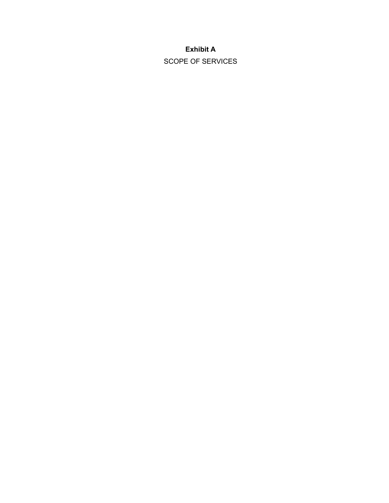# **Exhibit A**

SCOPE OF SERVICES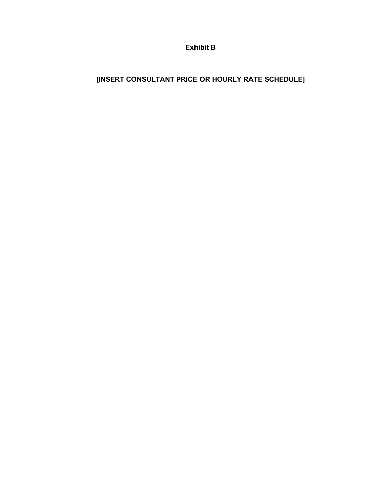**Exhibit B**

# **[INSERT CONSULTANT PRICE OR HOURLY RATE SCHEDULE]**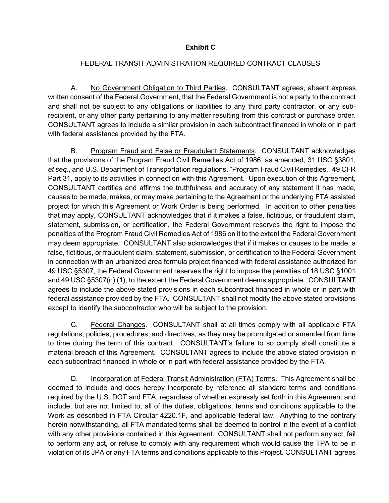# **Exhibit C**

# FEDERAL TRANSIT ADMINISTRATION REQUIRED CONTRACT CLAUSES

A. No Government Obligation to Third Parties. CONSULTANT agrees, absent express written consent of the Federal Government, that the Federal Government is not a party to the contract and shall not be subject to any obligations or liabilities to any third party contractor, or any subrecipient, or any other party pertaining to any matter resulting from this contract or purchase order. CONSULTANT agrees to include a similar provision in each subcontract financed in whole or in part with federal assistance provided by the FTA.

B. Program Fraud and False or Fraudulent Statements. CONSULTANT acknowledges that the provisions of the Program Fraud Civil Remedies Act of 1986, as amended, 31 USC §3801, *et seq*., and U.S. Department of Transportation regulations, "Program Fraud Civil Remedies," 49 CFR Part 31, apply to its activities in connection with this Agreement. Upon execution of this Agreement, CONSULTANT certifies and affirms the truthfulness and accuracy of any statement it has made, causes to be made, makes, or may make pertaining to the Agreement or the underlying FTA assisted project for which this Agreement or Work Order is being performed. In addition to other penalties that may apply, CONSULTANT acknowledges that if it makes a false, fictitious, or fraudulent claim, statement, submission, or certification, the Federal Government reserves the right to impose the penalties of the Program Fraud Civil Remedies Act of 1986 on it to the extent the Federal Government may deem appropriate. CONSULTANT also acknowledges that if it makes or causes to be made, a false, fictitious, or fraudulent claim, statement, submission, or certification to the Federal Government in connection with an urbanized area formula project financed with federal assistance authorized for 49 USC §5307, the Federal Government reserves the right to impose the penalties of 18 USC §1001 and 49 USC §5307(n) (1), to the extent the Federal Government deems appropriate. CONSULTANT agrees to include the above stated provisions in each subcontract financed in whole or in part with federal assistance provided by the FTA. CONSULTANT shall not modify the above stated provisions except to identify the subcontractor who will be subject to the provision.

C. Federal Changes. CONSULTANT shall at all times comply with all applicable FTA regulations, policies, procedures, and directives, as they may be promulgated or amended from time to time during the term of this contract. CONSULTANT's failure to so comply shall constitute a material breach of this Agreement. CONSULTANT agrees to include the above stated provision in each subcontract financed in whole or in part with federal assistance provided by the FTA.

D. Incorporation of Federal Transit Administration (FTA) Terms. This Agreement shall be deemed to include and does hereby incorporate by reference all standard terms and conditions required by the U.S. DOT and FTA, regardless of whether expressly set forth in this Agreement and include, but are not limited to, all of the duties, obligations, terms and conditions applicable to the Work as described in FTA Circular 4220.1F, and applicable federal law. Anything to the contrary herein notwithstanding, all FTA mandated terms shall be deemed to control in the event of a conflict with any other provisions contained in this Agreement. CONSULTANT shall not perform any act, fail to perform any act, or refuse to comply with any requirement which would cause the TPA to be in violation of its JPA or any FTA terms and conditions applicable to this Project. CONSULTANT agrees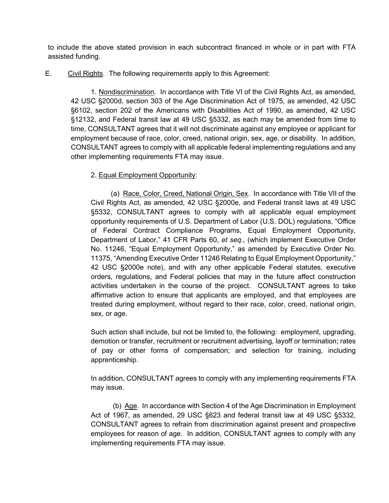to include the above stated provision in each subcontract financed in whole or in part with FTA assisted funding.

E. Civil Rights. The following requirements apply to this Agreement:

1. Nondiscrimination. In accordance with Title VI of the Civil Rights Act, as amended, 42 USC §2000d, section 303 of the Age Discrimination Act of 1975, as amended, 42 USC §6102, section 202 of the Americans with Disabilities Act of 1990, as amended, 42 USC §12132, and Federal transit law at 49 USC §5332, as each may be amended from time to time, CONSULTANT agrees that it will not discriminate against any employee or applicant for employment because of race, color, creed, national origin, sex, age, or disability. In addition, CONSULTANT agrees to comply with all applicable federal implementing regulations and any other implementing requirements FTA may issue.

# 2. Equal Employment Opportunity:

(a) Race, Color, Creed, National Origin, Sex. In accordance with Title VII of the Civil Rights Act, as amended, 42 USC §2000e, and Federal transit laws at 49 USC §5332, CONSULTANT agrees to comply with all applicable equal employment opportunity requirements of U.S. Department of Labor (U.S. DOL) regulations, "Office of Federal Contract Compliance Programs, Equal Employment Opportunity, Department of Labor," 41 CFR Parts 60, *et seq*., (which implement Executive Order No. 11246, "Equal Employment Opportunity," as amended by Executive Order No. 11375, "Amending Executive Order 11246 Relating to Equal Employment Opportunity," 42 USC §2000e note), and with any other applicable Federal statutes, executive orders, regulations, and Federal policies that may in the future affect construction activities undertaken in the course of the project. CONSULTANT agrees to take affirmative action to ensure that applicants are employed, and that employees are treated during employment, without regard to their race, color, creed, national origin, sex, or age.

Such action shall include, but not be limited to, the following: employment, upgrading, demotion or transfer, recruitment or recruitment advertising, layoff or termination; rates of pay or other forms of compensation; and selection for training, including apprenticeship.

In addition, CONSULTANT agrees to comply with any implementing requirements FTA may issue.

(b) Age. In accordance with Section 4 of the Age Discrimination in Employment Act of 1967, as amended, 29 USC §623 and federal transit law at 49 USC §5332, CONSULTANT agrees to refrain from discrimination against present and prospective employees for reason of age. In addition, CONSULTANT agrees to comply with any implementing requirements FTA may issue.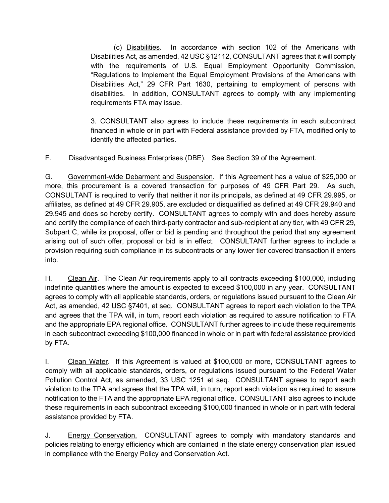(c) Disabilities. In accordance with section 102 of the Americans with Disabilities Act, as amended, 42 USC §12112, CONSULTANT agrees that it will comply with the requirements of U.S. Equal Employment Opportunity Commission, "Regulations to Implement the Equal Employment Provisions of the Americans with Disabilities Act," 29 CFR Part 1630, pertaining to employment of persons with disabilities. In addition, CONSULTANT agrees to comply with any implementing requirements FTA may issue.

3. CONSULTANT also agrees to include these requirements in each subcontract financed in whole or in part with Federal assistance provided by FTA, modified only to identify the affected parties.

F. Disadvantaged Business Enterprises (DBE). See Section 39 of the Agreement.

G. Government-wide Debarment and Suspension. If this Agreement has a value of \$25,000 or more, this procurement is a covered transaction for purposes of 49 CFR Part 29. As such, CONSULTANT is required to verify that neither it nor its principals, as defined at 49 CFR 29.995, or affiliates, as defined at 49 CFR 29.905, are excluded or disqualified as defined at 49 CFR 29.940 and 29.945 and does so hereby certify. CONSULTANT agrees to comply with and does hereby assure and certify the compliance of each third-party contractor and sub-recipient at any tier, with 49 CFR 29, Subpart C, while its proposal, offer or bid is pending and throughout the period that any agreement arising out of such offer, proposal or bid is in effect. CONSULTANT further agrees to include a provision requiring such compliance in its subcontracts or any lower tier covered transaction it enters into*.*

H. Clean Air. The Clean Air requirements apply to all contracts exceeding \$100,000, including indefinite quantities where the amount is expected to exceed \$100,000 in any year. CONSULTANT agrees to comply with all applicable standards, orders, or regulations issued pursuant to the Clean Air Act, as amended, 42 USC §7401, et seq. CONSULTANT agrees to report each violation to the TPA and agrees that the TPA will, in turn, report each violation as required to assure notification to FTA and the appropriate EPA regional office. CONSULTANT further agrees to include these requirements in each subcontract exceeding \$100,000 financed in whole or in part with federal assistance provided by FTA.

I. Clean Water. If this Agreement is valued at \$100,000 or more, CONSULTANT agrees to comply with all applicable standards, orders, or regulations issued pursuant to the Federal Water Pollution Control Act, as amended, 33 USC 1251 et seq. CONSULTANT agrees to report each violation to the TPA and agrees that the TPA will, in turn, report each violation as required to assure notification to the FTA and the appropriate EPA regional office. CONSULTANT also agrees to include these requirements in each subcontract exceeding \$100,000 financed in whole or in part with federal assistance provided by FTA.

J. Energy Conservation. CONSULTANT agrees to comply with mandatory standards and policies relating to energy efficiency which are contained in the state energy conservation plan issued in compliance with the Energy Policy and Conservation Act.